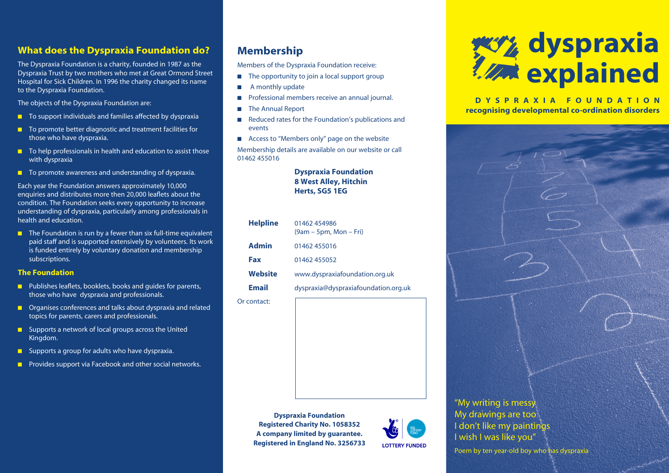## **What does the Dyspraxia Foundation do?**

The Dyspraxia Foundation is a charity, founded in 1987 as the Dyspraxia Trust by two mothers who met at Great Ormond Street Hospital for Sick Children. In 1996 the charity changed its name to the Dyspraxia Foundation.

The objects of the Dyspraxia Foundation are:

- $\blacksquare$  To support individuals and families affected by dyspraxia
- $\blacksquare$  To promote better diagnostic and treatment facilities for those who have dyspraxia.
- $\blacksquare$  To help professionals in health and education to assist those with dyspraxia
- $\blacksquare$  To promote awareness and understanding of dyspraxia.

Each year the Foundation answers approximately 10,000 enquiries and distributes more then 20,000 leaflets about the condition. The Foundation seeks every opportunity to increase understanding of dyspraxia, particularly among professionals in health and education.

 $\blacksquare$  The Foundation is run by a fewer than six full-time equivalent paid staff and is supported extensively by volunteers. Its work is funded entirely by voluntary donation and membership subscriptions.

#### **The Foundation**

- $\blacksquare$  Publishes leaflets, booklets, books and quides for parents, those who have dyspraxia and professionals.
- $\blacksquare$  Organises conferences and talks about dyspraxia and related topics for parents, carers and professionals.
- $\blacksquare$  Supports a network of local groups across the United Kingdom.
- **n** Supports a group for adults who have dyspraxia.
- **n** Provides support via Facebook and other social networks.

## **Membership**

Members of the Dyspraxia Foundation receive:

- $\blacksquare$  The opportunity to join a local support group
- $\blacksquare$  A monthly update
- **n** Professional members receive an annual journal.
- The Annual Report
- n Reduced rates for the Foundation's publications and events
- $\blacksquare$  Access to "Members only" page on the website

Membership details are available on our website or call 01462 455016

## **Dyspraxia Foundation 8 West Alley, Hitchin Herts, SG5 1EG**

| <b>Helpline</b> | 01462 454986<br>$(9am - 5pm, Mon - Fri)$ |
|-----------------|------------------------------------------|
| <b>Admin</b>    | 01462 455016                             |
| Fax             | 01462 455052                             |
| Website         | www.dyspraxiafoundation.org.uk           |
| <b>Email</b>    | dyspraxia@dyspraxiafoundation.org.uk     |
| Or contact:     |                                          |

# **dyspraxia explained**

**DYSPRAXIA FOUNDATION recognising developmental co-ordination disorders**



**Dyspraxia Foundation Registered Charity No. 1058352 A company limited by guarantee. Registered in England No. 3256733**



Poem by ten year-old boy who has dyspraxia